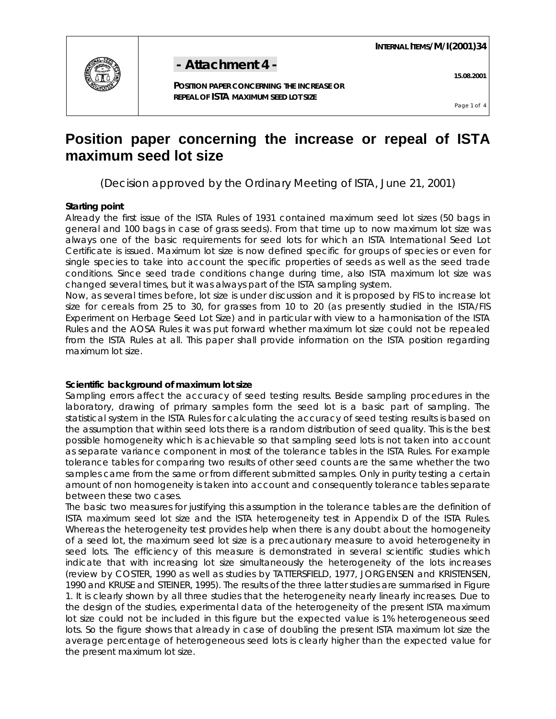**INTERNAL ITEMS/M/I(2001)34** 



# **- Attachment 4 - 15.08.2001**

 **POSITION PAPER CONCERNING THE INCREASE OR REPEAL OF ISTA MAXIMUM SEED LOT SIZE**

Page 1 of 4

## **Position paper concerning the increase or repeal of ISTA maximum seed lot size**

(Decision approved by the Ordinary Meeting of ISTA, June 21, 2001)

### **Starting point**

Already the first issue of the ISTA Rules of 1931 contained maximum seed lot sizes (50 bags in general and 100 bags in case of grass seeds). From that time up to now maximum lot size was always one of the basic requirements for seed lots for which an ISTA International Seed Lot Certificate is issued. Maximum lot size is now defined specific for groups of species or even for single species to take into account the specific properties of seeds as well as the seed trade conditions. Since seed trade conditions change during time, also ISTA maximum lot size was changed several times, but it was always part of the ISTA sampling system.

Now, as several times before, lot size is under discussion and it is proposed by FIS to increase lot size for cereals from 25 to 30, for grasses from 10 to 20 (as presently studied in the ISTA/FIS Experiment on Herbage Seed Lot Size) and in particular with view to a harmonisation of the ISTA Rules and the AOSA Rules it was put forward whether maximum lot size could not be repealed from the ISTA Rules at all. This paper shall provide information on the ISTA position regarding maximum lot size.

### **Scientific background of maximum lot size**

Sampling errors affect the accuracy of seed testing results. Beside sampling procedures in the laboratory, drawing of primary samples form the seed lot is a basic part of sampling. The statistical system in the ISTA Rules for calculating the accuracy of seed testing results is based on the assumption that within seed lots there is a random distribution of seed quality. This is the best possible homogeneity which is achievable so that sampling seed lots is not taken into account as separate variance component in most of the tolerance tables in the ISTA Rules. For example tolerance tables for comparing two results of other seed counts are the same whether the two samples came from the same or from different submitted samples. Only in purity testing a certain amount of non homogeneity is taken into account and consequently tolerance tables separate between these two cases.

The basic two measures for justifying this assumption in the tolerance tables are the definition of ISTA maximum seed lot size and the ISTA heterogeneity test in Appendix D of the ISTA Rules. Whereas the heterogeneity test provides help when there is any doubt about the homogeneity of a seed lot, the maximum seed lot size is a precautionary measure to avoid heterogeneity in seed lots. The efficiency of this measure is demonstrated in several scientific studies which indicate that with increasing lot size simultaneously the heterogeneity of the lots increases (review by COSTER, 1990 as well as studies by TATTERSFIELD, 1977, JORGENSEN and KRISTENSEN, 1990 and KRUSE and STEINER, 1995). The results of the three latter studies are summarised in Figure 1. It is clearly shown by all three studies that the heterogeneity nearly linearly increases. Due to the design of the studies, experimental data of the heterogeneity of the present ISTA maximum lot size could not be included in this figure but the expected value is 1% heterogeneous seed lots. So the figure shows that already in case of doubling the present ISTA maximum lot size the average percentage of heterogeneous seed lots is clearly higher than the expected value for the present maximum lot size.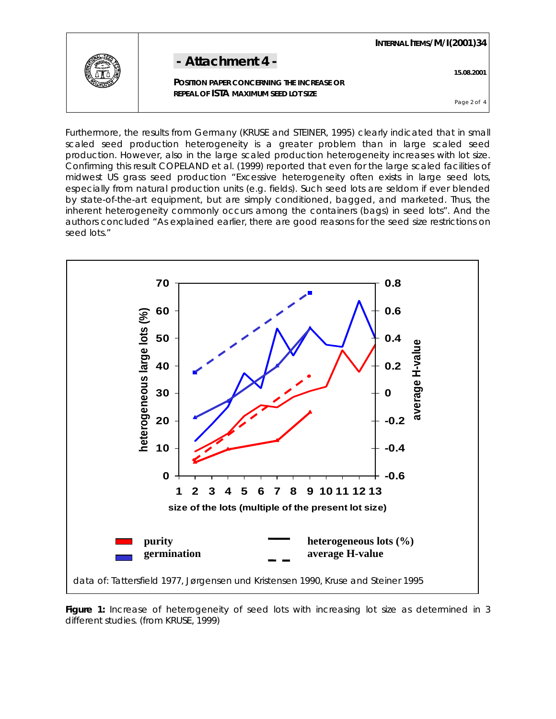| - Attachment 4 - | 15.08.2001<br><b>POSITION PAPER CONCERNING THE INCREASE OR</b> |
|------------------|----------------------------------------------------------------|
|                  | REPEAL OF ISTA MAXIMUM SEED LOT SIZE<br>Page 2 of 4            |

Furthermore, the results from Germany (KRUSE and STEINER, 1995) clearly indicated that in small scaled seed production heterogeneity is a greater problem than in large scaled seed production. However, also in the large scaled production heterogeneity increases with lot size. Confirming this result COPELAND *et al.* (1999) reported that even for the large scaled facilities of midwest US grass seed production "Excessive heterogeneity often exists in large seed lots, especially from natural production units (e.g. fields). Such seed lots are seldom if ever blended by state-of-the-art equipment, but are simply conditioned, bagged, and marketed. Thus, the inherent heterogeneity commonly occurs among the containers (bags) in seed lots". And the authors concluded "As explained earlier, there are good reasons for the seed size restrictions on seed lots."



Figure 1: Increase of heterogeneity of seed lots with increasing lot size as determined in 3 different studies. (from KRUSE, 1999)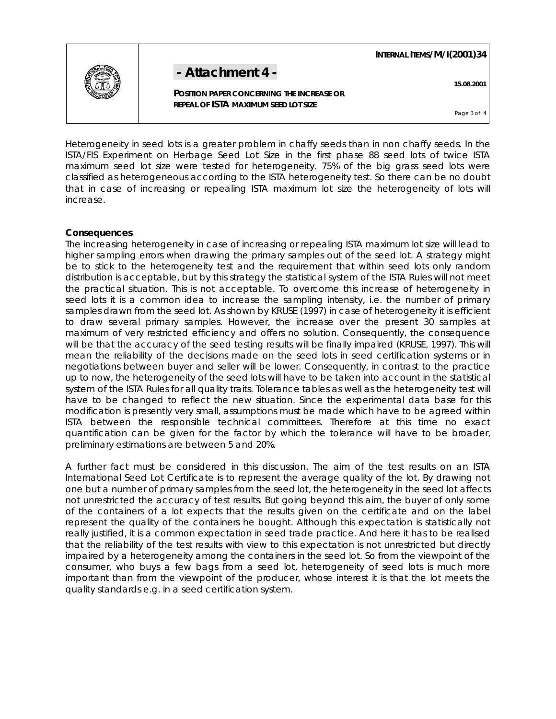

**- Attachment 4 - 15.08.2001** 

 **POSITION PAPER CONCERNING THE INCREASE OR REPEAL OF ISTA MAXIMUM SEED LOT SIZE**

 **INTERNAL ITEMS/M/I(2001)34**

Page 3 of 4

Heterogeneity in seed lots is a greater problem in chaffy seeds than in non chaffy seeds. In the ISTA/FIS Experiment on Herbage Seed Lot Size in the first phase 88 seed lots of twice ISTA maximum seed lot size were tested for heterogeneity. 75% of the big grass seed lots were classified as heterogeneous according to the ISTA heterogeneity test. So there can be no doubt that in case of increasing or repealing ISTA maximum lot size the heterogeneity of lots will increase.

#### **Consequences**

The increasing heterogeneity in case of increasing or repealing ISTA maximum lot size will lead to higher sampling errors when drawing the primary samples out of the seed lot. A strategy might be to stick to the heterogeneity test and the requirement that within seed lots only random distribution is acceptable, but by this strategy the statistical system of the ISTA Rules will not meet the practical situation. This is not acceptable. To overcome this increase of heterogeneity in seed lots it is a common idea to increase the sampling intensity, i.e. the number of primary samples drawn from the seed lot. As shown by KRUSE (1997) in case of heterogeneity it is efficient to draw several primary samples. However, the increase over the present 30 samples at maximum of very restricted efficiency and offers no solution. Consequently, the consequence will be that the accuracy of the seed testing results will be finally impaired (KRUSE, 1997). This will mean the reliability of the decisions made on the seed lots in seed certification systems or in negotiations between buyer and seller will be lower. Consequently, in contrast to the practice up to now, the heterogeneity of the seed lots will have to be taken into account in the statistical system of the ISTA Rules for all quality traits. Tolerance tables as well as the heterogeneity test will have to be changed to reflect the new situation. Since the experimental data base for this modification is presently very small, assumptions must be made which have to be agreed within ISTA between the responsible technical committees. Therefore at this time no exact quantification can be given for the factor by which the tolerance will have to be broader, preliminary estimations are between 5 and 20%.

A further fact must be considered in this discussion. The aim of the test results on an ISTA International Seed Lot Certificate is to represent the average quality of the lot. By drawing not one but a number of primary samples from the seed lot, the heterogeneity in the seed lot affects not unrestricted the accuracy of test results. But going beyond this aim, the buyer of only some of the containers of a lot expects that the results given on the certificate and on the label represent the quality of the containers he bought. Although this expectation is statistically not really justified, it is a common expectation in seed trade practice. And here it has to be realised that the reliability of the test results with view to this expectation is not unrestricted but directly impaired by a heterogeneity among the containers in the seed lot. So from the viewpoint of the consumer, who buys a few bags from a seed lot, heterogeneity of seed lots is much more important than from the viewpoint of the producer, whose interest it is that the lot meets the quality standards e.g. in a seed certification system.